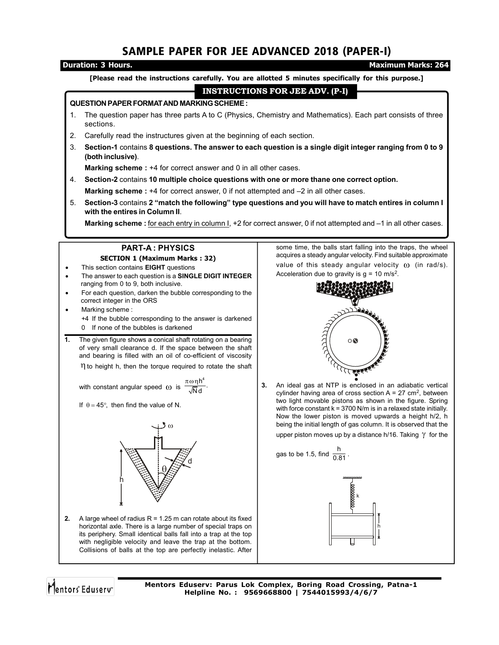# SAMPLE PAPER FOR JEE ADVANCED 2018 (PAPER-I)

## **Duration: 3 Hours. Maximum Marks: 264 [Please read the instructions carefully. You are allotted 5 minutes specifically for this purpose.] INSTRUCTIONS FOR JEE ADV. (P-I) QUESTION PAPER FORMAT AND MARKING SCHEME :** 1. The question paper has three parts A to C (Physics, Chemistry and Mathematics). Each part consists of three sections. 2. Carefully read the instructures given at the beginning of each section. 3. **Section-1** contains **8 questions. The answer to each question is a single digit integer ranging from 0 to 9 (both inclusive)**. **Marking scheme :** +4 for correct answer and 0 in all other cases. 4. **Section-2** contains **10 multiple choice questions with one or more thane one correct option. Marking scheme :** +4 for correct answer, 0 if not attempted and –2 in all other cases. 5. **Section-3** contains **2 "match the following" type questions and you will have to match entires in column I with the entires in Column II**. **Marking scheme :** for each entry in column I, +2 for correct answer, 0 if not attempted and –1 in all other cases. **PART-A : PHYSICS** some time, the balls start falling into the traps, the wheel acquires a steady angular velocity. Find suitable approximate **SECTION 1 (Maximum Marks : 32)** value of this steady angular velocity  $\omega$  (in rad/s). This section contains **EIGHT** questions The answer to each question is a **SINGLE DIGIT INTEGER** Acceleration due to gravity is  $g = 10$  m/s<sup>2</sup>. ranging from 0 to 9, both inclusive. For each question, darken the bubble corresponding to the correct integer in the ORS Marking scheme : ) à 2 +4 If the bubble corresponding to the answer is darkened 0 If none of the bubbles is darkened **1.** The given figure shows a conical shaft rotating on a bearing O of very small clearance d. If the space between the shaft and bearing is filled with an oil of co-efficient of viscosity  $\eta$  to height h, then the torque required to rotate the shaft بعققري  $\frac{\pi \omega \eta h^4}{\sqrt{N} d}$ . **3.** An ideal gas at NTP is enclosed in an adiabatic vertical with constant angular speed  $\omega$  is

cylinder having area of cross section  $A = 27$  cm<sup>2</sup>, between two light movable pistons as shown in the figure. Spring with force constant  $k = 3700$  N/m is in a relaxed state initially. Now the lower piston is moved upwards a height h/2, h being the initial length of gas column. It is observed that the

upper piston moves up by a distance h/16. Taking  $\gamma$  for the

gas to be 1.5, find  $\frac{h}{0.81}$ .





Mentors<sup>e</sup> Eduserv<sup>®</sup>

If  $\theta = 45^{\circ}$ , then find the value of N.

 $\omega$ 

d

 $\overline{\theta}$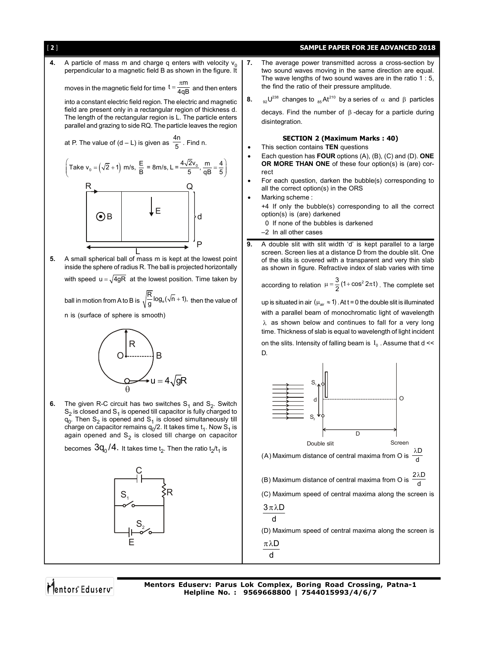

- For each question, darken the bubble(s) corresponding to all the correct option(s) in the ORS
- Marking scheme :

+4 If only the bubble(s) corresponding to all the correct option(s) is (are) darkened

0 If none of the bubbles is darkened

–2 In all other cases

**9.** A double slit with slit width 'd' is kept parallel to a large screen. Screen lies at a distance D from the double slit. One of the slits is covered with a transparent and very thin slab as shown in figure. Refractive index of slab varies with time

according to relation  $\mu = \frac{3}{2}(1 + \cos^2 2\pi t)$  . The complete set

up is situated in air ( $\mu_{\text{air}} \approx 1$ ). At t = 0 the double slit is illuminated with a parallel beam of monochromatic light of wavelength  $\lambda$  as shown below and continues to fall for a very long time. Thickness of slab is equal to wavelength of light incident on the slits. Intensity of falling beam is  $I_0$ . Assume that d <<





perpendicular to a magnetic field B as shown in the figure. It

into a constant electric field region. The electric and magnetic field are present only in a rectangular region of thickness d. The length of the rectangular region is L. The particle enters parallel and grazing to side RQ. The particle leaves the region

at P. The value of  $(d - L)$  is given as  $\frac{4n}{5}$  . Find n.

**4.** A particle of mass m and charge q enters with velocity  $v_0$ 

R Q

 $_{\rm B}$   $\vert$   $\downarrow$  E

d

Mentors<sup>®</sup> Eduserv<sup>®</sup>

E

 $\mathsf{S}_{\scriptscriptstyle{2}}$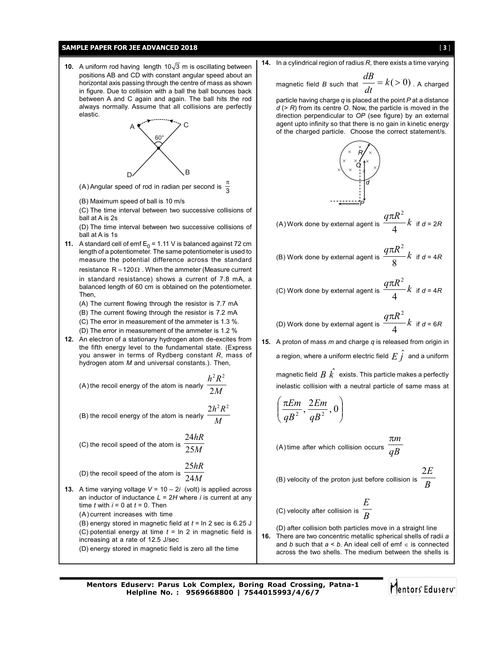## **SAMPLE PAPER FOR JEE ADVANCED 2018** [ 3 ]

**10.** A uniform rod having length  $10\sqrt{3}$  m is oscillating between positions AB and CD with constant angular speed about an horizontal axis passing through the centre of mass as shown in figure. Due to collision with a ball the ball bounces back between A and C again and again. The ball hits the rod always normally. Assume that all collisions are perfectly elastic.



(A) Angular speed of rod in radian per second is  $\frac{\pi}{3}$ 

- (B) Maximum speed of ball is 10 m/s
- (C) The time interval between two successive collisions of ball at A is 2s

(D) The time interval between two successive collisions of ball at A is 1s

**11.** A standard cell of emf  $E_0 = 1.11$  V is balanced against 72 cm length of a potentiometer. The same potentiometer is used to measure the potential difference across the standard resistance  $R = 120 \Omega$ . When the ammeter (Measure current in standard resistance) shows a current of 7.8 mA, a balanced length of 60 cm is obtained on the potentiometer. Then,

(A) The current flowing through the resistor is 7.7 mA (B) The current flowing through the resistor is 7.2 mA (C) The error in measurement of the ammeter is 1.3 %.

- (D) The error in measurement of the ammeter is 1.2 %
- **12.** An electron of a stationary hydrogen atom de-excites from the fifth energy level to the fundamental state. (Express you answer in terms of Rydberg constant *R*, mass of hydrogen atom *M* and universal constants.). Then,

(A) the recoil energy of the atom is nearly 
$$
\frac{h^2 R^2}{2M}
$$

(B) the recoil energy of the atom is nearly  $\frac{1}{M}$  $2h^2R^2$ 

(C) the recoil speed of the atom is 
$$
\frac{24hR}{25M}
$$

(D) the recoil speed of the atom is 
$$
\frac{25hR}{24M}
$$

- **13.** A time varying voltage  $V = 10 2i$  (volt) is applied across an inductor of inductance  $L = 2H$  where *i* is current at any time  $t$  with  $i = 0$  at  $t = 0$ . Then (A) current increases with time (B) energy stored in magnetic field at *t* = ln 2 sec is 6.25 J (C) potential energy at time *t* = ln 2 in magnetic field is increasing at a rate of 12.5 J/sec
	- (D) energy stored in magnetic field is zero all the time

**14.** In a cylindrical region of radius *R*, there exists a time varying

magnetic field *B* such that  $\frac{dB}{dt} = k(>0)$ . A charged

particle having charge *q* is placed at the point *P* at a distance *d* (> *R*) from its centre *O*. Now, the particle is moved in the direction perpendicular to *OP* (see figure) by an external agent upto infinity so that there is no gain in kinetic energy of the charged particle. Choose the correct statement/s.



(A) Work done by external agent is 
$$
\frac{q\pi R^2}{4}k
$$
 if  $d = 2R$ 

(B) Work done by external agent is 
$$
\frac{q\pi R^2}{8}k
$$
 if  $d = 4R$ 

(C) Work done by external agent is 
$$
\frac{q\pi R^2}{4}k
$$
 if  $d = 4R$ 

(D) Work done by external agent is 
$$
\frac{q\pi R^2}{4}k
$$
 if  $d = 6R$ 

**15.** A proton of mass *m* and charge *q* is released from origin in a region, where a uniform electric field  $E\,\hat{j}\,$  and a uniform magnetic field  $\stackrel{\frown}{B}\hat{k}^{\hat{}}$  exists. This particle makes a perfectly inelastic collision with a neutral particle of same mass at

$$
\left(\frac{\pi Em}{qB^2},\frac{2Em}{qB^2},0\right)
$$

(A) time after which collision occurs  $\frac{a}{a}$ *m*

(B) velocity of the proton just before collision is *B*

(C) velocity after collision is 
$$
\frac{E}{B}
$$

2*E*

Mentors<sup>®</sup> Eduserv<sup>®</sup>

(D) after collision both particles move in a straight line **16.** There are two concentric metallic spherical shells of radii *a* and *b* such that *a* < *b*. An ideal cell of emf is connected across the two shells. The medium between the shells is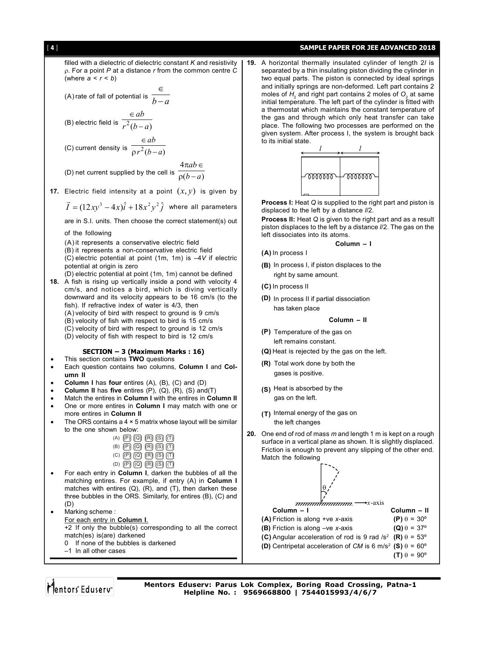## [ 4 ] **SAMPLE PAPER FOR JEE ADVANCED 2018**

filled with a dielectric of dielectric constant *K* and resistivity . For a point *P* at a distance *r* from the common centre *C* (where  $a < r < b$ ) (A) rate of fall of potential is  $\frac{1}{b}$  $\in$ *ab*

(B) electric field is 
$$
\frac{r^2(b-a)}{r^2(b-a)}
$$
  
 $\in ab$ 

(C) current density is 
$$
\frac{1}{\rho r^2(b-a)}
$$

(D) net current supplied by the cell is  $\frac{}{\rho(b-a)}$ 4 *b a ab*  $\rho(b \pi ab \in$ 

**17.** Electric field intensity at a point  $(x, y)$  is given by

 $\vec{I} = (12xy^3 - 4x)\hat{i} + 18x^2y^2\hat{j}$  where all parameters

are in S.I. units. Then choose the correct statement(s) out

### of the following

(A) it represents a conservative electric field

(B) it represents a non-conservative electric field

(C) electric potential at point (1m, 1m) is –4*V* if electric potential at origin is zero

(D) electric potential at point (1m, 1m) cannot be defined

**18.** A fish is rising up vertically inside a pond with velocity 4 cm/s, and notices a bird, which is diving vertically downward and its velocity appears to be 16 cm/s (to the fish). If refractive index of water is 4/3, then (A) velocity of bird with respect to ground is 9 cm/s (B) velocity of fish with respect to bird is 15 cm/s (C) velocity of bird with respect to ground is 12 cm/s (D) velocity of fish with respect to bird is 12 cm/s

## **SECTION – 3 (Maximum Marks : 16)**

### This section contains **TWO** questions

- Each question contains two columns, **Column I** and **Column II**
- **Column I** has **four** entires (A), (B), (C) and (D)
- **Column II** has **five** entires (P), (Q), (R), (S) and(T)
- Match the entires in **Column I** with the entires in **Column II**
- One or more entires in **Column I** may match with one or more entires in **Column II**
- $\bullet$  The ORS contains a 4  $\times$  5 matrix whose layout will be similar to the one shown below:

| $(A)$ $(P)$ $(Q)$ $(R)$ $(S)$ $(T)$ |  |  |
|-------------------------------------|--|--|
| $(B)$ $(D)$ $(Q)$ $(R)$ $(S)$ $(T)$ |  |  |
| (C) $(P)$ $(Q)$ $(R)$ $(S)$ $(T)$   |  |  |
| $(D)$ $(D)$ $(Q)$ $(R)$ $(S)$ $(T)$ |  |  |

 For each entry in **Column I**, darken the bubbles of all the matching entires. For example, if entry (A) in **Column I** matches with entires (Q), (R), and (T), then darken these three bubbles in the ORS. Similarly, for entires (B), (C) and (D)

• Marking scheme : For each entry in **Column I**. +2 If only the bubble(s) corresponding to all the correct match(es) is(are) darkened

- 0 If none of the bubbles is darkened
- –1 In all other cases

**19.** A horizontal thermally insulated cylinder of length 2*l* is separated by a thin insulating piston dividing the cylinder in two equal parts. The piston is connected by ideal springs and initially springs are non-deformed. Left part contains 2 moles of  $H_{_2}$  and right part contains 2 moles of  $\mathsf{O}_2$  at same initial temperature. The left part of the cylinder is fitted with a thermostat which maintains the constant temperature of the gas and through which only heat transfer can take place. The following two processes are performed on the given system. After process I, the system is brought back to its initial state.



**Process I:** Heat Q is supplied to the right part and piston is displaced to the left by a distance *l*/2.

**Process II:** Heat *Q* is given to the right part and as a result piston displaces to the left by a distance *l*/2. The gas on the left dissociates into its atoms.

**Column – I**

- **(A)** In process I
- **(B)** In process I, if piston displaces to the right by same amount.
- **(C)** In process II
- **(D)** In process II if partial dissociation has taken place

### **Column – II**

- **(P)** Temperature of the gas on left remains constant.
- **(Q)** Heat is rejected by the gas on the left.
- **(R)** Total work done by both the gases is positive.
- **(S)** Heat is absorbed by the gas on the left.
- **(T)** Internal energy of the gas on the left changes
- **20.** One end of rod of mass *m* and length 1 m is kept on a rough surface in a vertical plane as shown. It is slightly displaced. Friction is enough to prevent any slipping of the other end. Match the following

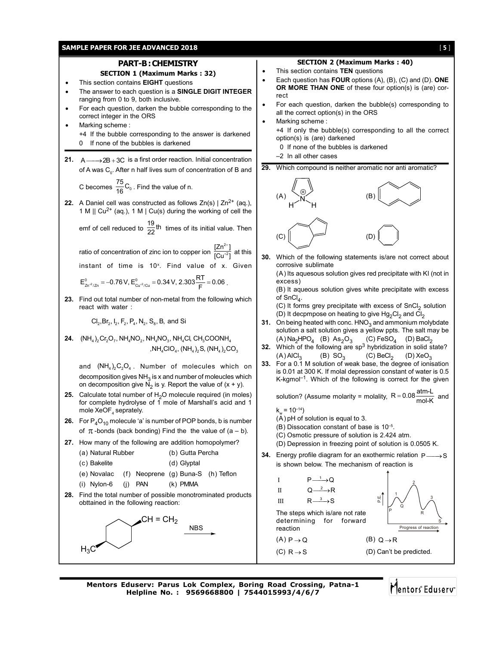## **SAMPLE PAPER FOR JEE ADVANCED 2018** [ 5 ]

## **PART-B : CHEMISTRY**

## **SECTION 1 (Maximum Marks : 32)**

- This section contains **EIGHT** questions
- The answer to each question is a **SINGLE DIGIT INTEGER** ranging from 0 to 9, both inclusive.
- For each question, darken the bubble corresponding to the correct integer in the ORS
	- Marking scheme : +4 If the bubble corresponding to the answer is darkened 0 If none of the bubbles is darkened
- **21.**  $A \rightarrow 2B + 3C$  is a first order reaction. Initial concentration of A was  $\mathsf{C}_{_{0}}$ . After n half lives sum of concentration of B and

C becomes  $\frac{75}{16}$ C<sub>0</sub>. Find the value of n.

- **22.** A Daniel cell was constructed as follows  $Zn(s) | Zn^{2+}$  (aq.), 1 M  $\parallel$  Cu<sup>2+</sup> (aq.), 1 M  $\parallel$  Cu(s) during the working of cell the
	- emf of cell reduced to  $\frac{19}{22}$ th times of its initial value. Then

ratio of concentration of zinc ion to copper ion  $\frac{[Zn]^2}{[Cn]^4}$  $\frac{[Zn^{2+}]}{[Cn^{+2}]}$  $[{\mathsf{Cu}}^{+2}]$  $\frac{2}{+2}$  at this instant of time is 10<sup>x</sup>. Find value of x. Given

$$
E_{z{n^{*2}}/z{n}}^0=-0.76\,V,\,E_{\text{Cu^{*2}}/\text{Cu}}^0=0.34\,V,\,2.303\frac{RT}{F}=0.06\,\,.
$$

**23.** Find out total number of non-metal from the following which react with water :

 $Cl_2, Br_2, I_2, F_2, P_4, N_2, S_8, B, and Si$ 

**24.**  $(NH_4)_2$ Cr<sub>2</sub>O<sub>7</sub>, NH<sub>4</sub>NO<sub>2</sub>, NH<sub>4</sub>NO<sub>3</sub>, NH<sub>4</sub>Cl, CH<sub>3</sub>COONH<sub>4</sub> ,NH<sub>4</sub>ClO<sub>4</sub>, (NH<sub>4</sub>)<sub>2</sub>S, (NH<sub>4</sub>)<sub>2</sub>CO<sub>3</sub>

and  $(NH_4)_2 C_2 O_4$ . Number of molecules which on decomposition gives  $NH<sub>3</sub>$  is x and number of moleucles which on decomposition give  $\overline{N}_2$  is y. Report the value of  $(x + y)$ .

- **25.** Calculate total number of  $H<sub>2</sub>O$  molecule required (in moles) for complete hydrolyse of  $1$  mole of Marshall's acid and 1 mole XeOF<sub>4</sub> seprately.
- **26.** For  $P_4O_{10}$  molecule 'a' is number of POP bonds, b is number of  $\pi$ -bonds (back bonding) Find the the value of (a – b).
- **27.** How many of the following are addition homopolymer?
	- (a) Natural Rubber (b) Gutta Percha
		- (c) Bakelite (d) Glyptal
		- (e) Novalac (f) Neoprene (g) Buna-S (h) Teflon
	- (i) Nylon-6 (j) PAN (k) PMMA
- **28.** Find the total number of possible monotrominated products obttained in the following reaction:





- This section contains **TEN** questions
- Each question has **FOUR** options (A), (B), (C) and (D). **ONE OR MORE THAN ONE** of these four option(s) is (are) correct
- For each question, darken the bubble(s) corresponding to all the correct option(s) in the ORS
- Marking scheme : +4 If only the bubble(s) corresponding to all the correct option(s) is (are) darkened
	- 0 If none of the bubbles is darkened
	- –2 In all other cases
- **29.** Which compound is neither aromatic nor anti aromatic?



**30.** Which of the following statements is/are not correct about corrosive sublimate

(A) Its aquesous solution gives red precipitate with KI (not in excess)

(B) It aqueous solution gives white precipitate with excess of  $SnCl<sub>4</sub>$ .

(C) It forms grey precipitate with excess of  $SnCl<sub>2</sub>$  solution (D) It decpmpose on heating to give  $Hg_2Cl_2$  and  $Cl_2$ 

- **31.** On being heated with conc. HNO<sub>3</sub> and ammonium molybdate solution a salt solution gives a yellow ppts. The salt may be  $(A)$  Na<sub>2</sub>HPO<sub>4</sub> (B) As<sub>2</sub>O<sub>3</sub> (C) FeSO<sub>4</sub> (D) BaCl<sub>2</sub>
- **32.** Which of the following are sp<sup>3</sup> hybridization in solid state?
- (A) AlCl<sub>3</sub> (B) SO<sub>3</sub> (C) BeCl<sub>2</sub> (D) XeO<sub>3</sub><br>**33.** For a 0.1 M solution of weak base, the degree of ionisation is 0.01 at 300 K. If molal depression constant of water is 0.5  $K$ -kgmol<sup>-1</sup>. Which of the following is correct for the given

solution? (Assume molarity = molality,  $R = 0.08 \frac{\text{atm-L}}{\text{mol-K}}$  and

 $k_m = 10^{-14}$ 

reaction

- (A) pH of solution is equal to 3.
- (B) Dissocation constant of base is 10–5.
- (C) Osmotic pressure of solution is 2.424 atm.
- (D) Depression in freezing point of solution is 0.0505 K.
- **34.** Energy profile diagram for an exothermic relation  $P \rightarrow S$ is shown below. The mechanism of reaction is

I II III  $P \longrightarrow Q$  $Q \rightarrow R$  $R \rightarrow$ S



(C)  $R \rightarrow S$  (D) Can't be predicted.

**Mentors Eduserv: Parus Lok Complex, Boring Road Crossing, Patna-1 Helpline No. : 9569668800 | 7544015993/4/6/7**

Mentors Eduserv

R

2

3

S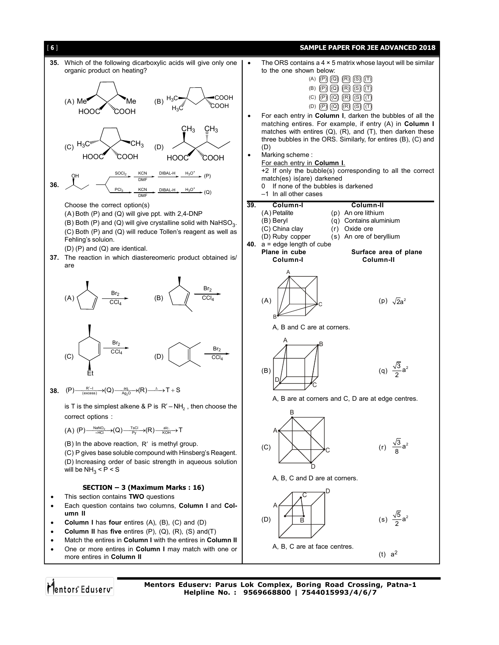

Mentors<sup>®</sup> Eduserv<sup>®</sup>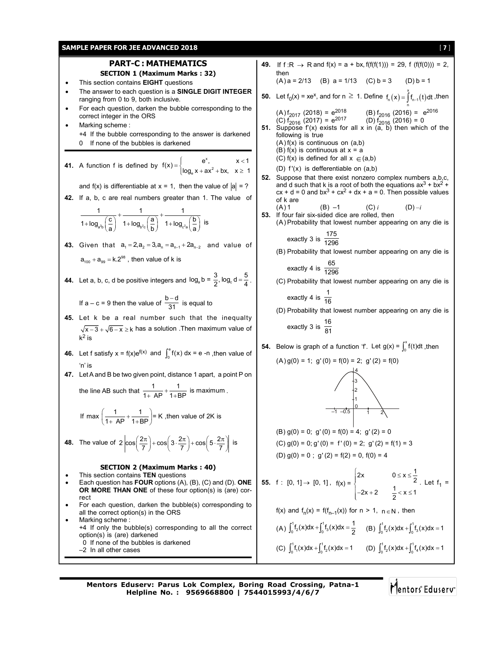## **SAMPLE PAPER FOR JEE ADVANCED 2018** [ 7 ]

# **PART-C : MATHEMATICS**

**SECTION 1 (Maximum Marks : 32)**

- This section contains **EIGHT** questions
- The answer to each question is a **SINGLE DIGIT INTEGER** ranging from 0 to 9, both inclusive.
- For each question, darken the bubble corresponding to the correct integer in the ORS
- Marking scheme : +4 If the bubble corresponding to the answer is darkened 0 If none of the bubbles is darkened

**41.** A function f is defined by 
$$
f(x) = \begin{cases} e^x, & x < 1 \\ \log_e x + ax^2 + bx, & x \ge 1 \end{cases}
$$

and  $f(x)$  is differentiable at  $x = 1$ , then the value of  $|a| = ?$ 

**42.** If a, b, c are real numbers greater than 1. The value of

$$
\frac{1}{1+\text{log}_{a^{2}b}\left(\frac{c}{a}\right)}+\frac{1}{1+\text{log}_{b^{2}c}\left(\frac{a}{b}\right)}+\frac{1}{1+\text{log}_{c^{2}a}\left(\frac{b}{a}\right)}\text{ is }\\
$$

**43.** Given that  $a_1 = 2$ ,  $a_2 = 3$ ,  $a_n = a_{n-1} + 2a_{n-2}$  and value of  $a_{100} + a_{99} = k.2^{98}$ , then value of k is

**44.** Let a, b, c, d be positive integers and 
$$
log_a b = \frac{3}{2}
$$
,  $log_c d = \frac{5}{4}$ .

If 
$$
a - c = 9
$$
 then the value of  $\frac{b - d}{31}$  is equal to

- **45.** Let k be a real number such that the inequalty  $\sqrt{x-3} + \sqrt{6-x} \ge k$  has a solution . Then maximum value of  $k^2$  is
- **46.** Let f satisfy  $x = f(x)e^{f(x)}$  and  $\int_0^e f(x) dx = e$  -n , then value of 'n' is
- **47.** Let A and B be two given point, distance 1 apart, a point P on  $1 \t1 \t1$

the line AB such that 
$$
\frac{1}{1+AP} + \frac{1}{1+BP}
$$
 is maximum.

If max 
$$
\left(\frac{1}{1 + AP} + \frac{1}{1 + BP}\right) = K
$$
, then value of 2K is

**48.** The value of  $2 \left| \cos \left( \frac{2\pi}{7} \right) + \cos \left( 3 \cdot \frac{2\pi}{7} \right) + \cos \left( 5 \cdot \frac{2\pi}{7} \right) \right|$  is

### **SECTION 2 (Maximum Marks : 40)**

- This section contains **TEN** questions
- Each question has **FOUR** options (A), (B), (C) and (D). **ONE OR MORE THAN ONE** of these four option(s) is (are) correct
- For each question, darken the bubble(s) corresponding to all the correct option(s) in the ORS
- Marking scheme : +4 If only the bubble(s) corresponding to all the correct option(s) is (are) darkened 0 If none of the bubbles is darkened –2 In all other cases

\n- **49.** If f: R → R and f(x) = a + bx, f(f(f(1))) = 29, f(f(f(0))) = 2, then
\n- (A) a = 2/13 (B) a = 1/13 (C) b = 3 (D) b = 1
\n- **50.** Let f<sub>0</sub>(x) = xe<sup>x</sup>, and for n ≥ 1. Define f<sub>n</sub>(x) = 
$$
\int_{1}^{x} f_{n-1}(t) dt
$$
, then
\n- (A) f<sub>2017</sub> (2018) = e<sup>2018</sup> (B) f<sub>2016</sub> (2016) = e<sup>2016</sup> (C) f<sub>2016</sub> (2017) = e<sup>2017</sup> (D) f<sub>2016</sub> (2016) = 0
\n- **51.** Suppose f'(x) exists for all x in (a, b) then which of the following is true
\n- (A) f(x) is continuous on (a,b)
\n

 $(A) f(x)$  is continuous (B)  $f(x)$  is continuous at  $x = a$ 

then

 $(A)$  a = 2/13 (B)

**50.** Let  $f_0(x) = xe^x$ , and

following is true

- (C) f(x) is defined for all  $x \in (a,b)$
- (D) f '(x) is defferentiable on (a,b)
- **52.** Suppose that there exist nonzero complex numbers a,b,c, and d such that k is a root of both the equations  $ax^3 + bx^2 +$  $cx + d = 0$  and  $bx^3 + cx^2 + dx + a = 0$ . Then possible values of k are

(A) 1 (B) –1 (C) *i* (D) *–i*

**53.** If four fair six-sided dice are rolled, then (A) Probability that lowest number appearing on any die is

exactly 3 is 
$$
\frac{175}{1296}
$$

(B) Probability that lowest number appearing on any die is 65

exactly 4 is 
$$
\frac{63}{1296}
$$

(C) Probability that lowest number appearing on any die is

exactly 4 is 
$$
\frac{1}{16}
$$

(D) Probability that lowest number appearing on any die is  $\overline{16}$ 

exactly 3 is 
$$
\frac{16}{81}
$$

**54.** Below is graph of a function 'f'. Let  $g(x) = \int_0^x f(t)dt$ , then

$$
(A) g(0) = 1; g'(0) = f(0) = 2; g'(2) = f(0)
$$



(B)  $g(0) = 0$ ;  $g'(0) = f(0) = 4$ ;  $g'(2) = 0$ (C)  $g(0) = 0$ ;  $g'(0) = f'(0) = 2$ ;  $g'(2) = f(1) = 3$ (D)  $g(0) = 0$ ;  $g'(2) = f(2) = 0$ ,  $f(0) = 4$ 

**55.** f : [0, 1] 
$$
\rightarrow
$$
 [0, 1],  $f(x) = \begin{cases} 2x & 0 \le x \le \frac{1}{2} \\ -2x + 2 & \frac{1}{2} < x \le 1 \end{cases}$ . Let  $f_1 =$ 

$$
f(x) \text{ and } f_n(x) = f(f_{n-1}(x)) \text{ for } n > 1, \, n \in \mathbb{N} \text{, then}
$$

(A) 
$$
\int_0^1 f_2(x) dx + \int_0^1 f_3(x) dx = \frac{1}{2}
$$
 (B)  $\int_0^1 f_2(x) dx + \int_0^1 f_3(x) dx = 1$   
\n(C)  $\int_0^1 f_1(x) dx + \int_0^1 f_2(x) dx = 1$  (D)  $\int_0^1 f_2(x) dx + \int_0^1 f_4(x) dx = 1$ 

**Mentors Eduserv: Parus Lok Complex, Boring Road Crossing, Patna-1 Helpline No. : 9569668800 | 7544015993/4/6/7**

Mentors Eduserv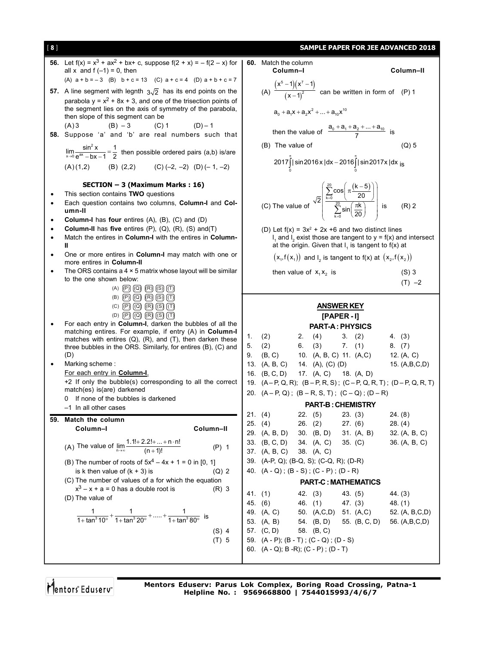| [8]       |                                                                                                                                     |  |                                |                                                                                          |                                                                                                                                                                                 | <b>SAMPLE PAPER FOR JEE ADVANCED 2018</b>                               |
|-----------|-------------------------------------------------------------------------------------------------------------------------------------|--|--------------------------------|------------------------------------------------------------------------------------------|---------------------------------------------------------------------------------------------------------------------------------------------------------------------------------|-------------------------------------------------------------------------|
|           | <b>56.</b> Let $f(x) = x^3 + ax^2 + bx + c$ , suppose $f(2 + x) = -f(2 - x)$ for                                                    |  | 60. Match the column           |                                                                                          |                                                                                                                                                                                 |                                                                         |
|           | all x and $f(-1) = 0$ , then                                                                                                        |  | Column-I                       |                                                                                          |                                                                                                                                                                                 | Column-II                                                               |
|           | (A) $a + b = -3$ (B) $b + c = 13$ (C) $a + c = 4$ (D) $a + b + c = 7$                                                               |  |                                |                                                                                          |                                                                                                                                                                                 |                                                                         |
|           | 57. A line segment with legnth $3\sqrt{2}$ has its end points on the                                                                |  |                                |                                                                                          | (A) $\frac{(x^5-1)(x^7-1)}{(x-1)^2}$ can be written in form of (P) 1                                                                                                            |                                                                         |
|           | parabola $y = x^2 + 8x + 3$ , and one of the trisection points of                                                                   |  |                                |                                                                                          |                                                                                                                                                                                 |                                                                         |
|           | the segment lies on the axis of symmetry of the parabola,<br>then slope of this segment can be                                      |  |                                | $a_0 + a_1x + a_2x^2 +  + a_{10}x^{10}$                                                  |                                                                                                                                                                                 |                                                                         |
|           | (A)3<br>$(B) - 3$<br>$(C) 1$ $(D) - 1$                                                                                              |  |                                |                                                                                          |                                                                                                                                                                                 |                                                                         |
|           | 58. Suppose 'a' and 'b' are real numbers such that                                                                                  |  |                                |                                                                                          | then the value of $\frac{a_0 + a_1 + a_2 +  + a_{10}}{7}$ is                                                                                                                    |                                                                         |
|           |                                                                                                                                     |  | (B) The value of               |                                                                                          |                                                                                                                                                                                 | $(Q)$ 5                                                                 |
|           | $\lim_{x\to 0}\frac{\sin^2 x}{e^{ax}-bx-1}=\frac{1}{2}$ then possible ordered pairs (a,b) is/are                                    |  |                                |                                                                                          |                                                                                                                                                                                 |                                                                         |
|           | (B) $(2,2)$ $(C)$ $(-2, -2)$ $(D)$ $(-1, -2)$<br>(A)(1,2)                                                                           |  |                                |                                                                                          | $2017 \int_{0}^{1}  \sin 2016 \times  \, dx - 2016 \int_{0}^{1}  \sin 2017 \times  \, dx \, ds$                                                                                 |                                                                         |
|           |                                                                                                                                     |  |                                |                                                                                          |                                                                                                                                                                                 |                                                                         |
|           | SECTION - 3 (Maximum Marks: 16)                                                                                                     |  |                                |                                                                                          |                                                                                                                                                                                 |                                                                         |
|           | This section contains TWO questions                                                                                                 |  |                                |                                                                                          | (C) The value of $\sqrt{2}$ $\left  \frac{\sum_{k=0}^{\infty} \cos \left( \pi \frac{(k-5)}{20} \right)}{\sum_{k=0}^{20} \sin \left( \frac{\pi k}{20} \right)} \right $ is (R) 2 |                                                                         |
|           | Each question contains two columns, Column-I and Col-<br>umn-II                                                                     |  |                                |                                                                                          |                                                                                                                                                                                 |                                                                         |
|           | Column-I has four entires (A), (B), (C) and (D)                                                                                     |  |                                |                                                                                          |                                                                                                                                                                                 |                                                                         |
|           | <b>Column-II</b> has five entires $(P)$ , $(Q)$ , $(R)$ , $(S)$ and $(T)$                                                           |  |                                |                                                                                          | (D) Let $f(x) = 3x^2 + 2x + 6$ and two distinct lines                                                                                                                           |                                                                         |
| $\bullet$ | Match the entires in Column-I with the entires in Column-                                                                           |  |                                |                                                                                          |                                                                                                                                                                                 | $I_1$ and $I_2$ exist those are tangent to $y = f(x)$ and intersect     |
|           | Ш                                                                                                                                   |  |                                |                                                                                          | at the origin. Given that $I_1$ is tangent to $f(x)$ at                                                                                                                         |                                                                         |
|           | One or more entires in Column-I may match with one or<br>more entires in Column-II                                                  |  |                                |                                                                                          | $(x_1, f(x_1))$ and I <sub>2</sub> is tangent to $f(x)$ at $(x_2, f(x_2))$                                                                                                      |                                                                         |
|           | The ORS contains a $4 \times 5$ matrix whose layout will be similar                                                                 |  |                                | then value of $x_1x_2$ is                                                                |                                                                                                                                                                                 | $(S)$ 3                                                                 |
|           | to the one shown below:<br>(A) $(P)$ $(Q)$ $(R)$ $(S)$ $(T)$                                                                        |  |                                |                                                                                          |                                                                                                                                                                                 | $(T) -2$                                                                |
|           | $(B)$ $(P)$ $(Q)$ $(R)$ $(S)$ $(T)$                                                                                                 |  |                                |                                                                                          |                                                                                                                                                                                 |                                                                         |
|           |                                                                                                                                     |  |                                |                                                                                          |                                                                                                                                                                                 |                                                                         |
|           | $(C)$ $(P)$ $(Q)$ $(R)$ $(S)$ $(T)$                                                                                                 |  |                                |                                                                                          | <b>ANSWER KEY</b>                                                                                                                                                               |                                                                         |
|           | (D) $(P)$ $(Q)$ $(R)$ $(S)$ $(T)$                                                                                                   |  |                                |                                                                                          | [PAPER-I]                                                                                                                                                                       |                                                                         |
| $\bullet$ | For each entry in Column-I, darken the bubbles of all the                                                                           |  |                                |                                                                                          | <b>PART-A: PHYSICS</b>                                                                                                                                                          |                                                                         |
|           | matching entires. For example, if entry (A) in Column-I                                                                             |  | 1. $(2)$                       |                                                                                          | 2. (4) 3. (2)                                                                                                                                                                   | 4. (3)                                                                  |
|           | matches with entires $(Q)$ , $(R)$ , and $(T)$ , then darken these<br>three bubbles in the ORS. Similarly, for entires (B), (C) and |  | 5. (2)                         |                                                                                          | 6. $(3)$ 7. $(1)$                                                                                                                                                               | 8. (7)                                                                  |
|           | (D)                                                                                                                                 |  | 9. (B, C)                      |                                                                                          | 10. (A, B, C) 11. (A, C) 12. (A, C)                                                                                                                                             |                                                                         |
|           | Marking scheme:                                                                                                                     |  | 13. (A, B, C)                  | 14. (A), (C) (D)                                                                         |                                                                                                                                                                                 | 15. (A,B,C,D)                                                           |
|           | For each entry in <b>Column-I</b> .                                                                                                 |  | 16. (B, C, D)                  | 17. (A, C) 18. (A, D)                                                                    |                                                                                                                                                                                 |                                                                         |
|           | +2 If only the bubble(s) corresponding to all the correct<br>match(es) is(are) darkened                                             |  |                                |                                                                                          |                                                                                                                                                                                 | 19. $(A-P, Q, R)$ ; $(B-P, R, S)$ ; $(C-P, Q, R, T)$ ; $(D-P, Q, R, T)$ |
|           | 0 If none of the bubbles is darkened                                                                                                |  |                                |                                                                                          | 20. $(A - P, Q)$ ; $(B - R, S, T)$ ; $(C - Q)$ ; $(D - R)$                                                                                                                      |                                                                         |
|           | -1 In all other cases                                                                                                               |  |                                |                                                                                          | <b>PART-B: CHEMISTRY</b>                                                                                                                                                        |                                                                         |
| 59.       | Match the column                                                                                                                    |  | 21. (4)                        | 22. (5)                                                                                  | 23. (3)                                                                                                                                                                         | 24. (8)                                                                 |
|           | Column-I<br>Column-II                                                                                                               |  | 25. (4)                        | 26. (2)                                                                                  | 27. (6)                                                                                                                                                                         | 28. (4)                                                                 |
|           |                                                                                                                                     |  | 29. (A, B, D)<br>33. (B, C, D) | 30. $(B, D)$<br>34. (A, C)                                                               | 31. $(A, B)$<br>35. (C)                                                                                                                                                         | 32. (A, B, C)<br>36. (A, B, C)                                          |
|           | (A) The value of $\lim_{n \to \infty} \frac{1 \cdot 1! + 2 \cdot 2! + \dots + n \cdot n!}{(n+1)!}$<br>$(P)$ 1                       |  | 37. (A, B, C)                  | 38. (A, C)                                                                               |                                                                                                                                                                                 |                                                                         |
|           | (B) The number of roots of $5x^4 - 4x + 1 = 0$ in [0, 1]                                                                            |  |                                | 39. (A-P, Q); (B-Q, S); (C-Q, R); (D-R)                                                  |                                                                                                                                                                                 |                                                                         |
|           | is k then value of $(k + 3)$ is<br>$(Q)$ 2                                                                                          |  |                                | 40. $(A - Q)$ ; $(B - S)$ ; $(C - P)$ ; $(D - R)$                                        |                                                                                                                                                                                 |                                                                         |
|           | (C) The number of values of a for which the equation                                                                                |  |                                |                                                                                          | <b>PART-C: MATHEMATICS</b>                                                                                                                                                      |                                                                         |
|           | $x^3 - x + a = 0$ has a double root is<br>$(R)$ 3                                                                                   |  | 41. (1)                        | 42. (3)                                                                                  | 43(5)                                                                                                                                                                           | 44. (3)                                                                 |
|           | (D) The value of                                                                                                                    |  | 45. (6)                        | 46. $(1)$                                                                                | 47. (3)                                                                                                                                                                         | 48. (1)                                                                 |
|           |                                                                                                                                     |  | 49. (A, C)                     | 50. (A,C,D) 51. (A,C)                                                                    |                                                                                                                                                                                 | 52. (A, B,C,D)                                                          |
|           | $\frac{1}{1+\tan^3 10^\circ} + \frac{1}{1+\tan^3 20^\circ} + \dots + \frac{1}{1+\tan^3 80^\circ}$ is                                |  | 53. (A, B)                     | 54. (B, D)                                                                               | 55. (B, C, D)                                                                                                                                                                   | 56. (A,B,C,D)                                                           |
|           | $(S)$ 4                                                                                                                             |  | 57. (C, D)                     | 58. (B, C)                                                                               |                                                                                                                                                                                 |                                                                         |
|           | $(T)$ 5                                                                                                                             |  |                                | 59. (A - P); (B - T) ; (C - Q) ; (D - S)<br>60. $(A - Q)$ ; B -R); $(C - P)$ ; $(D - T)$ |                                                                                                                                                                                 |                                                                         |

Mentors<sup>e</sup> Eduserv<sup>-</sup>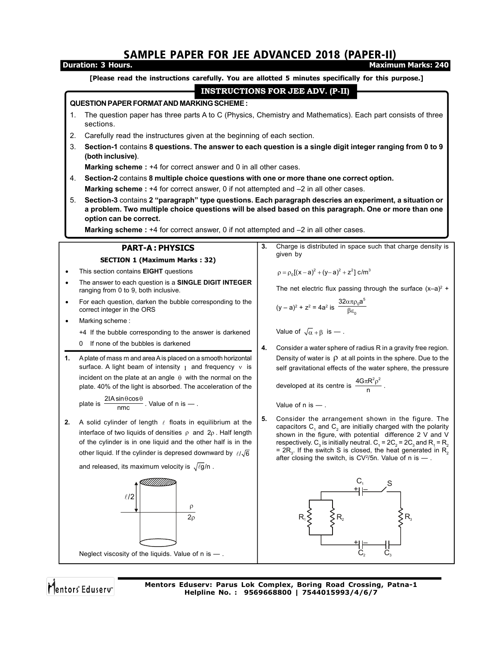# SAMPLE PAPER FOR JEE ADVANCED 2018 (PAPER-II)

### **Duration: 3 Hours. Maximum Marks: 240 [Please read the instructions carefully. You are allotted 5 minutes specifically for this purpose.] INSTRUCTIONS FOR JEE ADV. (P-II) QUESTION PAPER FORMAT AND MARKING SCHEME :** 1. The question paper has three parts A to C (Physics, Chemistry and Mathematics). Each part consists of three sections. 2. Carefully read the instructures given at the beginning of each section. 3. **Section-1** contains **8 questions. The answer to each question is a single digit integer ranging from 0 to 9 (both inclusive)**. **Marking scheme :** +4 for correct answer and 0 in all other cases. 4. **Section-2** contains **8 multiple choice questions with one or more thane one correct option. Marking scheme :** +4 for correct answer, 0 if not attempted and –2 in all other cases. 5. **Section-3** contains **2 "paragraph" type questions. Each paragraph descries an experiment, a situation or a problem. Two multiple choice questions will be alsed based on this paragraph. One or more than one option can be correct. Marking scheme :** +4 for correct answer, 0 if not attempted and –2 in all other cases. **3.** Charge is distributed in space such that charge density is **PART-A : PHYSICS** given by **SECTION 1 (Maximum Marks : 32)** This section contains **EIGHT** questions  $p = p_0[(x-a)^2 + (y-a)^2 + z^2]$  c/m<sup>3</sup> The answer to each question is a **SINGLE DIGIT INTEGER** ranging from 0 to 9, both inclusive. The net electric flux passing through the surface  $(x-a)^2$  + • For each question, darken the bubble corresponding to the  $32\alpha \pi \rho_0$ a  $_{0}a^{5}$  $(y - a)^2 + z^2 = 4a^2$  is correct integer in the ORS βε 0 Marking scheme : Value of  $\sqrt{\alpha} + \beta$  is — . +4 If the bubble corresponding to the answer is darkened 0 If none of the bubbles is darkened **4.** Consider a water sphere of radius R in a gravity free region. **1.** A plate of mass m and area A is placed on a smooth horizontal Density of water is  $\rho$  at all points in the sphere. Due to the surface. A light beam of intensity  $I$  and frequency  $v$  is self gravitational effects of the water sphere, the pressure incident on the plate at an angle  $\theta$  with the normal on the developed at its centre is  $\frac{4G\pi R^2 \rho^2}{r^2}$  $\frac{\pi R^2 \rho^2}{n}$ . plate. 40% of the light is absorbed. The acceleration of the plate is  $\frac{2IA\sin\theta\cos\theta}{\cos\theta}$  $\frac{IA\sin\theta\cos\theta}{\cos\theta}$ . Value of n is — . Value of n is — . nmc **5.** Consider the arrangement shown in the figure. The **2.** A solid cylinder of length  $\ell$  floats in equilibrium at the capacitors  $\mathsf{C}_1$  and  $\mathsf{C}_2$  are initially charged with the polarity interface of two liquids of densities  $\rho$  and  $2\rho$ . Half length shown in the figure, with potential difference 2 V and V of the cylinder is in one liquid and the other half is in the respectively.  $C_3$  is initially neutral.  $C_1$  = 2 $C_2$  = 2 $C_3$  and  $R_1$  =  $R_2$ other liquid. If the cylinder is depresed downward by  $\ell/\sqrt{6}$ = 2R<sub>3</sub>. If the switch S is closed, the heat generated in R<sub>2</sub> after closing the switch, is  $CV^2/5n$ . Value of n is  $-$ . and released, its maximum velocity is  $\sqrt{\ell g}/n$ .  $C_{1}$ \_c, \_\_\_\_\_\_\_s<br>최⊨\_\_\_\_\_\_⁄ \_\_ –  $\ell$ /2 ρ  $\overline{2\rho}$  $R_1$  $\leq$   $\leq$   $R_2$   $\leq$   $R_3$ + – Neglect viscosity of the liquids. Value of n is — .  $C_2$   $C_3$

Mentors<sup>®</sup> Eduserv<sup>®</sup>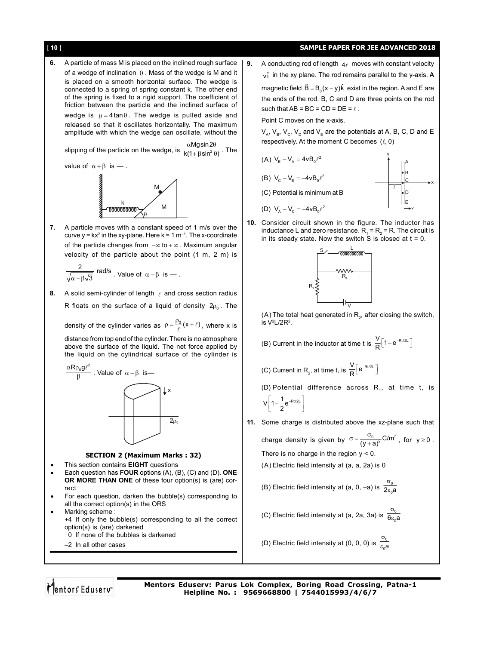[ 10 ] **SAMPLE PAPER FOR JEE ADVANCED 2018 6.** A particle of mass M is placed on the inclined rough surface of a wedge of inclination  $\theta$ . Mass of the wedge is M and it is placed on a smooth horizontal surface. The wedge is connected to a spring of spring constant k. The other end of the spring is fixed to a rigid support. The coefficient of friction between the particle and the inclined surface of wedge is  $\mu = 4 \tan \theta$ . The wedge is pulled aside and released so that it oscillates horizontally. The maximum amplitude with which the wedge can oscillate, without the slipping of the particle on the wedge, is  $\frac{2}{k(1 + \beta \sin^2 \theta)}$ . The  $\alpha$ Mgsin 2 $\theta$ value of  $\alpha + \beta$  is -..  $\theta$ M M **vanaaloon 7.** A particle moves with a constant speed of 1 m/s over the curve y =  $kx^2$  in the xy-plane. Here  $k = 1$  m<sup>-1</sup>. The x-coordinate of the particle changes from  $-\infty$  to  $+\infty$ . Maximum angular velocity of the particle about the point (1 m, 2 m) is  $\frac{2}{\sqrt{2}}$  rad/s  $\sqrt{\alpha-\beta\sqrt{3}}$  radios. Value of  $\alpha-\beta$  is — . **8.** A solid semi-cylinder of length  $\ell$  and cross section radius R floats on the surface of a liquid of density  $2p_0$ . The density of the cylinder varies as  $\rho = \frac{\rho_0}{\ell} (x + \ell)$ , where x is distance from top end of the cylinder. There is no atmosphere above the surface of the liquid. The net force applied by the liquid on the cylindrical surface of the cylinder is  $\alpha \mathsf{R} \rho_0 \mathsf{g} \ell^2$ β  $\stackrel{\ell^2}{\text{---}}$  . Value of  $\alpha$  –  $\beta$  is—  $2\rho_0$ x **SECTION 2 (Maximum Marks : 32)** This section contains **EIGHT** questions Each question has **FOUR** options (A), (B), (C) and (D). **ONE OR MORE THAN ONE** of these four option(s) is (are) correct For each question, darken the bubble(s) corresponding to all the correct option(s) in the ORS Marking scheme : +4 If only the bubble(s) corresponding to all the correct option(s) is (are) darkened 0 If none of the bubbles is darkened –2 In all other cases is V2 L/2R2 .  $V\left[1-\frac{1}{2}e^{-Rt/2L}\right]$ 

**9.** A conducting rod of length  $4\ell$  moves with constant velocity  $v_i$  in the xy plane. The rod remains parallel to the y-axis. A magnetic field  $\vec{B} = B_0(x - y)\hat{k}$  exist in the region. A and E are the ends of the rod. B, C and D are three points on the rod such that  $AB = BC = CD = DE = \ell$ .

Point C moves on the x-axis.

 $V_A$ ,  $V_B$ ,  $V_C$ ,  $V_D$  and  $V_F$  are the potentials at A, B, C, D and E respectively. At the moment C becomes  $(\ell, 0)$ 



x

**10.** Consider circuit shown in the figure. The inductor has inductance L and zero resistance.  $R_{_1}$  =  $R_{_2}$  = R. The circuit is in its steady state. Now the switch S is closed at  $t = 0$ .



(A) The total heat generated in  $R_{2}$ , after closing the switch,

(B) Current in the inductor at time t is  $\frac{V}{R}$ [1-e<sup>-Rt/2L</sup>]

(C) Current in R<sub>2</sub>, at time t, is  $\frac{V}{R} \left[ e^{-Rt/2L} \right]$ 

(D) Potential difference across  $R_1$ , at time t, is

**11.** Some charge is distributed above the xz-plane such that

charge density is given by  $\sigma = \frac{\sigma_0}{(y+a)^2}$ C/m<sup>3</sup>, for  $y \ge 0$ . There is no charge in the region  $y < 0$ .

(A) Electric field intensity at (a, a, 2a) is 0

(B) Electric field intensity at (a, 0, -a) is  $\frac{0}{2\varepsilon_0 a}$  $\sigma$  $\epsilon$ 

(C) Electric field intensity at (a, 2a, 3a) is  $\frac{0}{6\varepsilon_0 a}$  $\sigma$  $\epsilon$ 

(D) Electric field intensity at (0, 0, 0) is  $\frac{0}{\varepsilon_0 a}$  $\sigma$  $\epsilon$ 

Mentors Eduserv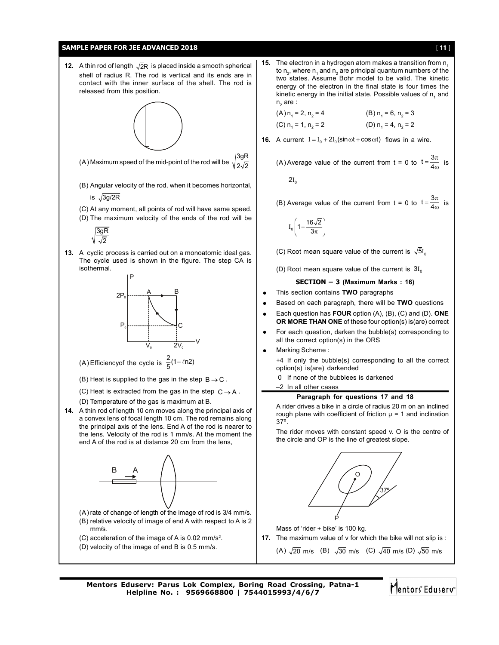

Mentors Eduserv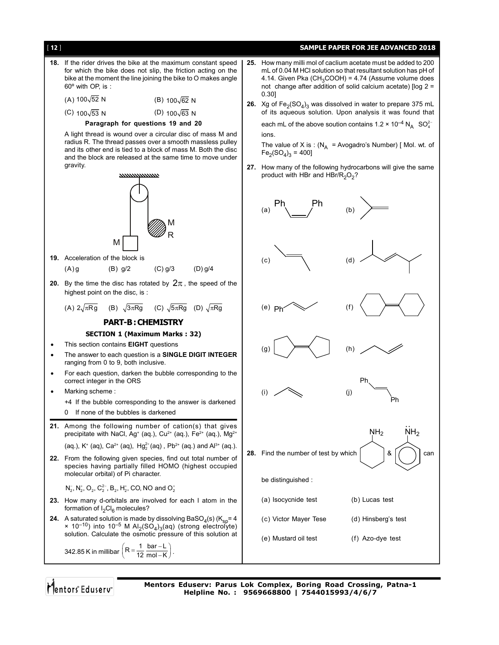

Mentors Eduserv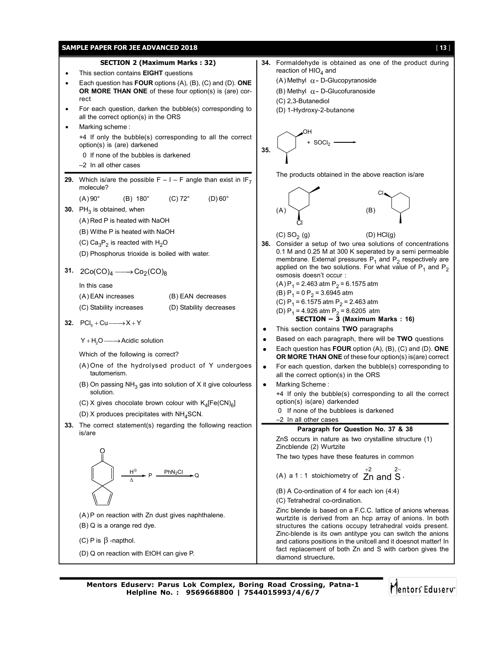

**Mentors Eduserv: Parus Lok Complex, Boring Road Crossing, Patna-1 Helpline No. : 9569668800 | 7544015993/4/6/7**

Mentors<sup>®</sup> Eduserv<sup>®</sup>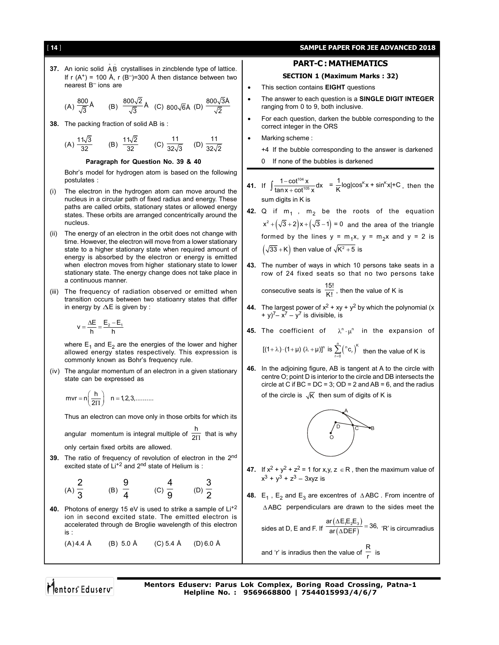## [ 14 ] **SAMPLE PAPER FOR JEE ADVANCED 2018**

**37.** An ionic solid  $\overrightarrow{AB}$  crystallises in zincblende type of lattice. If r  $(A^+)$  = 100 Å, r  $(B^-)$ =300 Å then distance between two nearest B– ions are

(A) 
$$
\frac{800}{\sqrt{3}}\text{\AA}
$$
 (B)  $\frac{800\sqrt{2}}{\sqrt{3}}\text{\AA}$  (C)  $800\sqrt{6}\text{\AA}$  (D)  $\frac{800\sqrt{3}\text{\AA}}{\sqrt{2}}$ 

**38.** The packing fraction of solid AB is :

(A) 
$$
\frac{11\sqrt{3}}{32}
$$
 (B)  $\frac{11\sqrt{2}}{32}$  (C)  $\frac{11}{32\sqrt{3}}$  (D)  $\frac{11}{32\sqrt{2}}$ 

**Paragraph for Question No. 39 & 40**

Bohr's model for hydrogen atom is based on the following postulates :

- (i) The electron in the hydrogen atom can move around the nucleus in a circular path of fixed radius and energy. These paths are called orbits, stationary states or allowed energy states. These orbits are arranged concentrically around the nucleus.
- (ii) The energy of an electron in the orbit does not change with time. However, the electron will move from a lower stationary state to a higher stationary state when required amount of energy is absorbed by the electron or energy is emitted when electron moves from higher stationary state to lower stationary state. The energy change does not take place in a continuous manner.
- (iii) The frequency of radiation observed or emitted when transition occurs between two statioanry states that differ in energy by  $\Delta E$  is given by :

$$
v = \frac{\Delta E}{h} = \frac{E_2 - E_1}{h}
$$

where  $E_1$  and  $E_2$  are the energies of the lower and higher allowed energy states respectively. This expression is commonly known as Bohr's frequency rule.

(iv) The angular momentum of an electron in a given stationary state can be expressed as

$$
mvr = n\left(\frac{h}{2\Pi}\right) \quad n = 1, 2, 3, \dots \dots
$$

Thus an electron can move only in those orbits for which its

angular momentum is integral multiple of  $\frac{h}{2\Pi}$  that is why

2

only certain fixed orbits are allowed.

**39.** The ratio of frequency of revolution of electron in the 2nd excited state of Li<sup>+2</sup> and 2<sup>nd</sup> state of Helium is :

(A) 
$$
\frac{2}{3}
$$
 (B)  $\frac{9}{4}$  (C)  $\frac{4}{9}$  (D)  $\frac{3}{2}$ 

**40.** Photons of energy 15 eV is used to strike a sample of Li+2 ion in second excited state. The emitted electron is accelerated through de Broglie wavelength of this electron is :

$$
(A) 4.4 \text{ Å} \qquad (B) 5.0 \text{ Å} \qquad (C) 5.4 \text{ Å} \qquad (D) 6.0 \text{ Å}
$$

## **PART-C : MATHEMATICS**

## **SECTION 1 (Maximum Marks : 32)**

- This section contains **EIGHT** questions
- The answer to each question is a **SINGLE DIGIT INTEGER** ranging from 0 to 9, both inclusive.
- For each question, darken the bubble corresponding to the correct integer in the ORS
- Marking scheme :

+4 If the bubble corresponding to the answer is darkened

0 If none of the bubbles is darkened

41. If 
$$
\int \frac{1 - \cot^{104} x}{\tan x + \cot^{105} x} dx = \frac{1}{K} \log |\cos^{K} x + \sin^{K} x| + C
$$
, then the sum digits in K is

- **42.** Q if  $m_1$ ,  $m_2$  be the roots of the equation  $x^{2} + (\sqrt{3} + 2)x + (\sqrt{3} - 1) = 0$  and the area of the triangle formed by the lines  $y = m_1x$ ,  $y = m_2x$  and  $y = 2$  is  $(\sqrt{33} + K)$  then value of  $\sqrt{K^2 + 5}$  is
- **43.** The number of ways in which 10 persons take seats in a row of 24 fixed seats so that no two persons take consecutive seats is  $\frac{15!}{K!}$ , then the value of K is
- **44.** The largest power of  $x^2 + xy + y^2$  by which the polynomial (x + y)<sup>7</sup> –  $x^7$  – y<sup>7</sup> is divisible, is
- **45.** The coefficient of  $\lambda^n \cdot \mu^n$  in the expansion of

$$
[(1+\lambda)\cdot(1+\mu)(\lambda+\mu)]^n \text{ is } \sum_{r=0}^n {n \choose r}^K \text{ then the value of K is}
$$

**46.** In the adjoining figure, AB is tangent at A to the circle with centre O; point D is interior to the circle and DB intersects the circle at C if  $BC = DC = 3$ ;  $OD = 2$  and  $AB = 6$ , and the radius

of the circle is  $\sqrt{K}$  then sum of digits of K is



- **47.** If  $x^2 + y^2 + z^2 = 1$  for x,y,  $z \in \mathbb{R}$ , then the maximum value of  $x^{3} + y^{3} + z^{3} - 3xyz$  is
- **48.**  $E_1$ ,  $E_2$  and  $E_3$  are excentres of  $\triangle ABC$ . From incentre of ABC perpendiculars are drawn to the sides meet the

sides at D, E and F. If  $\frac{ar(\Delta E_1E_2E_3)}{ar(\Delta DEF)}$  $\frac{\text{ar}(\Delta E_1 E_2 E_3)}{\text{ar}(\Delta DEF)}$  = 36, 'R' is circumradius

and 'r' is inradius then the value of  $\frac{R}{r}$  is

Mentors Eduserv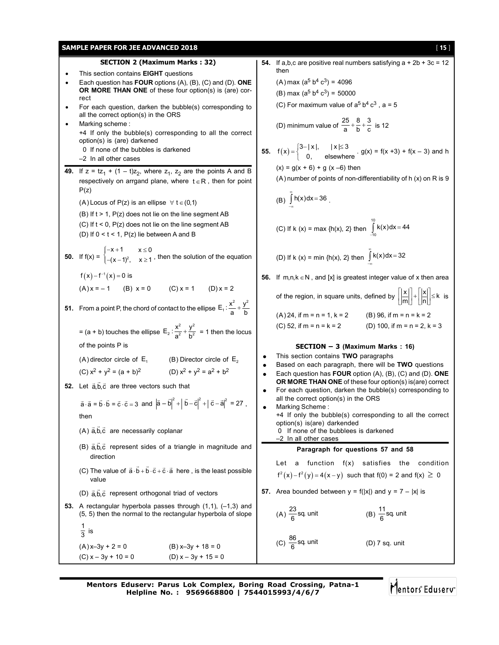|           | <b>SAMPLE PAPER FOR JEE ADVANCED 2018</b>                                                                                                                                                                        |                        | [15]                                                                                                                                                                                                                                                           |  |  |  |  |
|-----------|------------------------------------------------------------------------------------------------------------------------------------------------------------------------------------------------------------------|------------------------|----------------------------------------------------------------------------------------------------------------------------------------------------------------------------------------------------------------------------------------------------------------|--|--|--|--|
|           | <b>SECTION 2 (Maximum Marks: 32)</b>                                                                                                                                                                             |                        | 54. If a,b,c are positive real numbers satisfying $a + 2b + 3c = 12$                                                                                                                                                                                           |  |  |  |  |
| $\bullet$ | This section contains <b>EIGHT</b> questions<br>Each question has <b>FOUR</b> options $(A)$ , $(B)$ , $(C)$ and $(D)$ . <b>ONE</b><br><b>OR MORE THAN ONE</b> of these four option(s) is (are) cor-<br>rect      |                        | then<br>(A) max ( $a^5 b^4 c^3$ ) = 4096<br>(B) max ( $a^5 b^4 c^3$ ) = 50000                                                                                                                                                                                  |  |  |  |  |
|           | For each question, darken the bubble(s) corresponding to<br>all the correct option(s) in the ORS<br>Marking scheme:<br>+4 If only the bubble(s) corresponding to all the correct                                 |                        | (C) For maximum value of $a^5 b^4 c^3$ , $a = 5$<br>(D) minimum value of $\frac{25}{a} + \frac{8}{b} + \frac{3}{c}$ is 12                                                                                                                                      |  |  |  |  |
|           | option(s) is (are) darkened<br>0 If none of the bubbles is darkened<br>$-2$ In all other cases                                                                                                                   |                        | 55. $f(x) = \begin{cases} 3- x , &  x  \le 3 \\ 0, & \text{elsewhere} \end{cases}$ . $g(x) = f(x+3) + f(x-3)$ and h                                                                                                                                            |  |  |  |  |
|           | 49. If $z = tz_1 + (1 - t)z_2$ , where $z_1$ , $z_2$ are the points A and B<br>respectively on arrgand plane, where $t \in R$ , then for point<br>P(z)                                                           |                        | $(x) = g(x + 6) + g(x - 6)$ then<br>(A) number of points of non-differentiability of h (x) on R is 9                                                                                                                                                           |  |  |  |  |
|           | (A) Locus of P(z) is an ellipse $\forall$ t $\in$ (0,1)                                                                                                                                                          |                        | (B) $\int h(x) dx = 36$ .                                                                                                                                                                                                                                      |  |  |  |  |
|           | $(B)$ If $t > 1$ , $P(z)$ does not lie on the line segment AB<br>(C) If $t < 0$ , $P(z)$ does not lie on the line segment AB<br>(D) If $0 < t < 1$ , P(z) lie between A and B                                    |                        | (C) If k (x) = max {h(x), 2} then $\int_{-10}^{10}$ k(x)dx = 44                                                                                                                                                                                                |  |  |  |  |
|           | <b>50.</b> If $f(x) = \begin{cases} -x + 1 & x \le 0 \\ -(x - 1)^2, & x \ge 1 \end{cases}$ , then the solution of the equation                                                                                   |                        | (D) If k (x) = min {h(x), 2} then $\int_{0}^{\infty} k(x) dx = 32$                                                                                                                                                                                             |  |  |  |  |
|           | $f(x) - f^{-1}(x) = 0$ is                                                                                                                                                                                        |                        | <b>56.</b> If $m,n,k \in \mathbb{N}$ , and [x] is greatest integer value of x then area                                                                                                                                                                        |  |  |  |  |
|           | (A) $x = -1$ (B) $x = 0$ (C) $x = 1$ (D) $x = 2$<br><b>51.</b> From a point P, the chord of contact to the ellipse $E_1: \frac{x^2}{a} + \frac{y^2}{b}$                                                          |                        | of the region, in square units, defined by $\left \frac{x}{m}\right  + \left \frac{x}{n}\right  \le k$ is                                                                                                                                                      |  |  |  |  |
|           | = (a + b) touches the ellipse $E_2: \frac{x^2}{a^2} + \frac{y^2}{b^2} = 1$ then the locus                                                                                                                        |                        | $(A)$ 24, if m = n = 1, k = 2<br>$(B)$ 96, if m = n = k = 2<br>(C) 52, if $m = n = k = 2$<br>(D) 100, if m = n = 2, k = 3                                                                                                                                      |  |  |  |  |
|           | of the points P is<br>(A) director circle of $E_1$ (B) Director circle of $E_2$<br>(C) $x^2 + y^2 = (a + b)^2$<br>(D) $x^2 + y^2 = a^2 + b^2$<br>52. Let $\vec{a}, \vec{b}, \vec{c}$ are three vectors such that | $\bullet$<br>$\bullet$ | <b>SECTION - 3 (Maximum Marks: 16)</b><br>This section contains TWO paragraphs<br>Based on each paragraph, there will be TWO questions<br>Each question has FOUR option (A), (B), (C) and (D). ONE<br>OR MORE THAN ONE of these four option(s) is(are) correct |  |  |  |  |
|           | $\vec{a} \cdot \vec{a} = \vec{b} \cdot \vec{b} = \vec{c} \cdot \vec{c} = 3$ and $ \vec{a} - \vec{b} ^2 +  \vec{b} - \vec{c} ^2 +  \vec{c} - \vec{a} ^2 = 27$ ,<br>then                                           |                        | For each question, darken the bubble(s) corresponding to<br>all the correct option(s) in the ORS<br>Marking Scheme:<br>+4 If only the bubble(s) corresponding to all the correct<br>option(s) is(are) darkended                                                |  |  |  |  |
|           | $(A)$ $\vec{a}, \vec{b}, \vec{c}$ are necessarily coplanar                                                                                                                                                       |                        | 0 If none of the bubblees is darkened<br>-2 In all other cases                                                                                                                                                                                                 |  |  |  |  |
|           | (B) $\vec{a}, \vec{b}, \vec{c}$ represent sides of a triangle in magnitude and<br>direction                                                                                                                      |                        | Paragraph for questions 57 and 58<br>a function $f(x)$ satisfies<br>condition<br>Let<br>the                                                                                                                                                                    |  |  |  |  |
|           | (C) The value of $\vec{a} \cdot \vec{b} + \vec{b} \cdot \vec{c} + \vec{c} \cdot \vec{a}$ here, is the least possible<br>value                                                                                    |                        | $f^{2}(x) - f^{2}(y) = 4(x - y)$ such that $f(0) = 2$ and $f(x) \ge 0$                                                                                                                                                                                         |  |  |  |  |
|           | (D) $\vec{a}, \vec{b}, \vec{c}$ represent orthogonal triad of vectors                                                                                                                                            |                        | <b>57.</b> Area bounded between $y = f( x )$ and $y = 7 -  x $ is                                                                                                                                                                                              |  |  |  |  |
|           | 53. A rectangular hyperbola passes through $(1,1)$ , $(-1,3)$ and<br>(5, 5) then the normal to the rectangular hyperbola of slope                                                                                |                        | (A) $\frac{23}{6}$ sq unit<br>(B) $\frac{11}{6}$ sq. unit                                                                                                                                                                                                      |  |  |  |  |
|           | $\frac{1}{3}$ is<br>$(B) x-3y + 18 = 0$<br>$(A) x - 3y + 2 = 0$<br>$(C) x - 3y + 10 = 0$<br>$(D) x - 3y + 15 = 0$                                                                                                |                        | (C) $\frac{86}{6}$ sq. unit<br>$(D)$ 7 sq. unit                                                                                                                                                                                                                |  |  |  |  |

**Mentors Eduserv: Parus Lok Complex, Boring Road Crossing, Patna-1 Helpline No. : 9569668800 | 7544015993/4/6/7**

Mentors Eduserv-